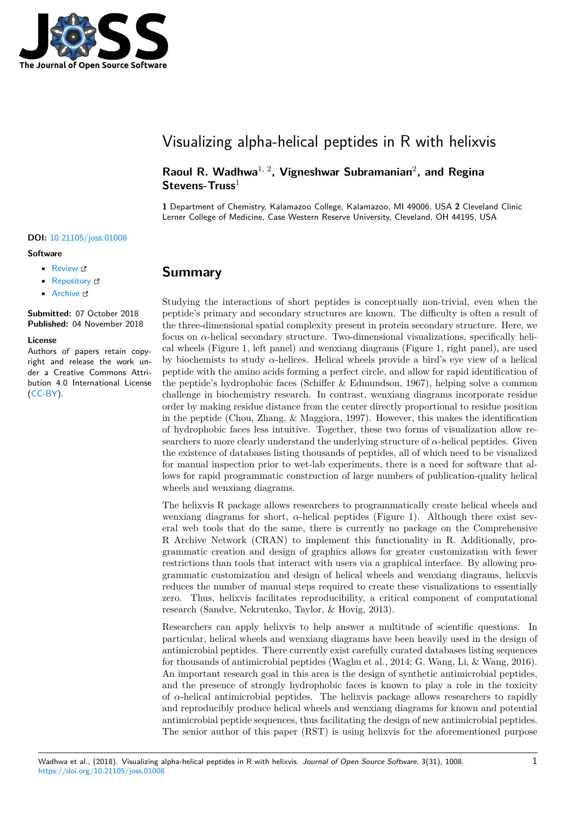

## Visualizing alpha-helical peptides in R with helixvis

**Raoul R. Wadhwa**1, 2**, Vigneshwar Subramanian**<sup>2</sup> **, and Regina Stevens-Truss**<sup>1</sup>

**1** Department of Chemistry, Kalamazoo College, Kalamazoo, MI 49006, USA **2** Cleveland Clinic Lerner College of Medicine, Case Western Reserve University, Cleveland, OH 44195, USA

#### **DOI:** 10.21105/joss.01008

#### **Software**

- Review &
- [Repository](https://doi.org/10.21105/joss.01008) &
- Archive

**Subm[itted:](https://github.com/openjournals/joss-reviews/issues/1008)** 07 October 2018 **Published:** [04 No](https://github.com/rrrlw/helixvis)vember 2018

#### **Licen[se](https://doi.org/10.5281/zenodo.1470939)**

Authors of papers retain copyright and release the work under a Creative Commons Attribution 4.0 International License (CC-BY).

# **Summary**

Studying the interactions of short peptides is conceptually non-trivial, even when the peptide's primary and secondary structures are known. The difficulty is often a result of the three-dimensional spatial complexity present in protein secondary structure. Here, we focus on  $\alpha$ -helical secondary structure. Two-dimensional visualizations, specifically helical wheels (Figure 1, left panel) and wenxiang diagrams (Figure 1, right panel), are used by biochemists to study *α*-helices. Helical wheels provide a bird's eye view of a helical peptide with the amino acids forming a perfect circle, and allow for rapid identification of the peptide's hydrophobic faces (Schiffer & Edmundson, 1967), helping solve a common challenge in biochemistry research. In contrast, wenxiang diagrams incorporate residue order by making residue distance from the center directly proportional to residue position in the peptide (Chou, Zhang, & Maggiora, 1997). However, this makes the identification of hydrophobic faces less intuitive. Together, these two forms of visualization allow researchers to more clearly understand the underlying structure of  $\alpha$ -helical peptides. Given the existence of databases listing thousands of peptides, all of which need to be visualized for manual inspection prior to wet-lab experiments, there is a need for software that allows for rapid programmatic construction of large numbers of publication-quality helical wheels and wenxiang diagrams.

The helixvis R package allows researchers to programmatically create helical wheels and wenxiang diagrams for short,  $\alpha$ -helical peptides (Figure 1). Although there exist several web tools that do the same, there is currently no package on the Comprehensive R Archive Network (CRAN) to implement this functionality in R. Additionally, programmatic creation and design of graphics allows for greater customization with fewer restrictions than tools that interact with users via a graphical interface. By allowing programmatic customization and design of helical wheels and wenxiang diagrams, helixvis reduces the number of manual steps required to create these visualizations to essentially zero. Thus, helixvis facilitates reproducibility, a critical component of computational research (Sandve, Nekrutenko, Taylor, & Hovig, 2013).

Researchers can apply helixvis to help answer a multitude of scientific questions. In particular, helical wheels and wenxiang diagrams have been heavily used in the design of antimicrobial peptides. There currently exist carefully curated databases listing sequences for thousands of antimicrobial peptides (Waghu et al., 2014; G. Wang, Li, & Wang, 2016). An important research goal in this area is the design of synthetic antimicrobial peptides, and the presence of strongly hydrophobic faces is known to play a role in the toxicity of *α*-helical antimicrobial peptides. The helixvis package allows researchers to rapidly and reproducibly produce helical wheels and wenxiang diagrams for known and potential antimicrobial peptide sequences, thus facilitating the design of new antimicrobial peptides. The senior author of this paper (RST) is using helixvis for the aforementioned purpose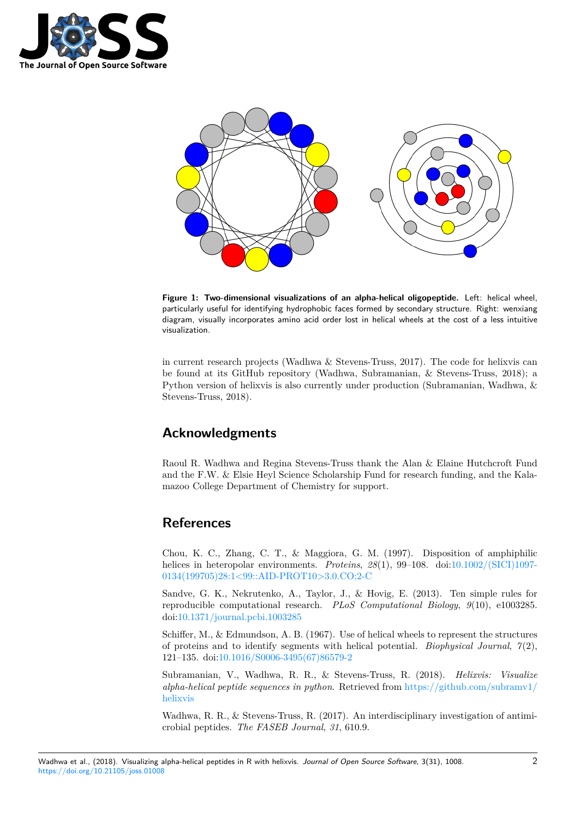



**Figure 1: Two-dimensional visualizations of an alpha-helical oligopeptide.** Left: helical wheel, particularly useful for identifying hydrophobic faces formed by secondary structure. Right: wenxiang diagram, visually incorporates amino acid order lost in helical wheels at the cost of a less intuitive visualization.

in current research projects (Wadhwa & Stevens-Truss, 2017). The code for helixvis can be found at its GitHub repository (Wadhwa, Subramanian, & Stevens-Truss, 2018); a Python version of helixvis is also currently under production (Subramanian, Wadhwa, & Stevens-Truss, 2018).

### **Acknowledgments**

Raoul R. Wadhwa and Regina Stevens-Truss thank the Alan & Elaine Hutchcroft Fund and the F.W. & Elsie Heyl Science Scholarship Fund for research funding, and the Kalamazoo College Department of Chemistry for support.

## **References**

Chou, K. C., Zhang, C. T., & Maggiora, G. M. (1997). Disposition of amphiphilic helices in heteropolar environments. *Proteins*, *28*(1), 99–108. doi:10.1002/(SICI)1097- 0134(199705)28:1<99::AID-PROT10>3.0.CO;2-C

Sandve, G. K., Nekrutenko, A., Taylor, J., & Hovig, E. (2013). Ten simple rules for reproducible computational research. *PLoS Computational Biology*, *9*[\(10\), e1003285.](https://doi.org/10.1002/(SICI)1097-0134(199705)28:1%3C99::AID-PROT10%3E3.0.CO;2-C) [doi:10.1371/journal.pcbi.1003285](https://doi.org/10.1002/(SICI)1097-0134(199705)28:1%3C99::AID-PROT10%3E3.0.CO;2-C)

Schiffer, M., & Edmundson, A. B. (1967). Use of helical wheels to represent the structures of proteins and to identify segments with helical potential. *Biophysical Journal*, *7*(2), 121[–135. doi:10.1016/S0006-3495](https://doi.org/10.1371/journal.pcbi.1003285)(67)86579-2

Subramanian, V., Wadhwa, R. R., & Stevens-Truss, R. (2018). *Helixvis: Visualize alpha-helical peptide sequences in python*. Retrieved from https://github.com/subramv1/ helixvis

Wadhwa, R. [R., & Stevens-Truss, R. \(2017\).](https://doi.org/10.1016/S0006-3495(67)86579-2) An interdisciplinary investigation of antimicrobial peptides. *The FASEB Journal*, *31*, 610.9.